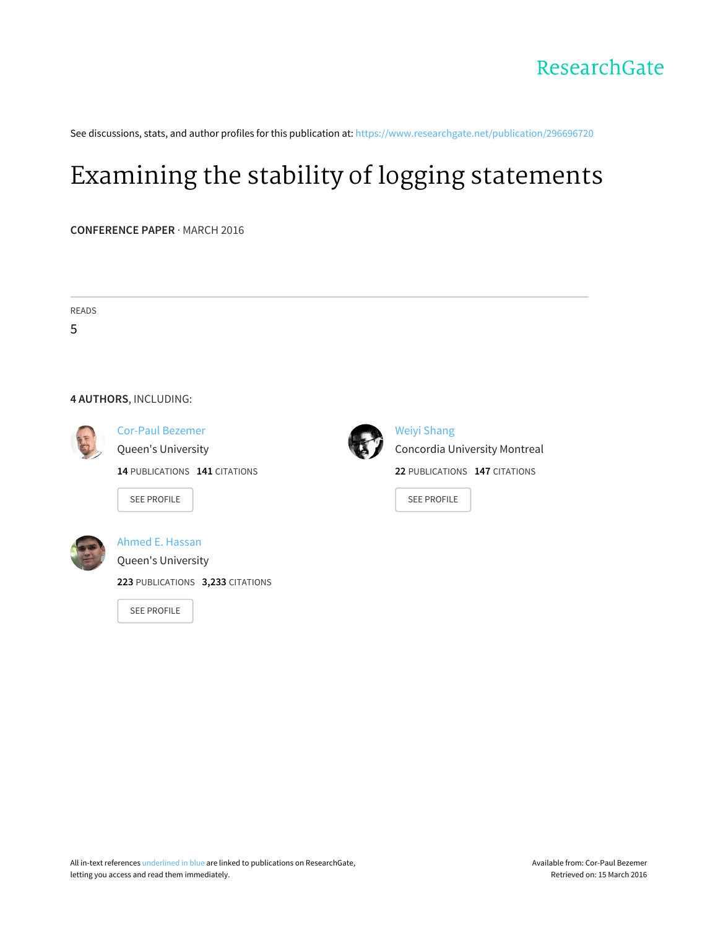

See discussions, stats, and author profiles for this publication at: [https://www.researchgate.net/publication/296696720](https://www.researchgate.net/publication/296696720_Examining_the_stability_of_logging_statements?enrichId=rgreq-ff96aa87-877e-4080-8ec7-04803e7d87eb&enrichSource=Y292ZXJQYWdlOzI5NjY5NjcyMDtBUzozMzk5MDIyOTEwMzgyMTJAMTQ1ODA1MDQyOTUyMQ%3D%3D&el=1_x_2)

# Examining the stability of logging [statements](https://www.researchgate.net/publication/296696720_Examining_the_stability_of_logging_statements?enrichId=rgreq-ff96aa87-877e-4080-8ec7-04803e7d87eb&enrichSource=Y292ZXJQYWdlOzI5NjY5NjcyMDtBUzozMzk5MDIyOTEwMzgyMTJAMTQ1ODA1MDQyOTUyMQ%3D%3D&el=1_x_3)

**CONFERENCE PAPER** · MARCH 2016

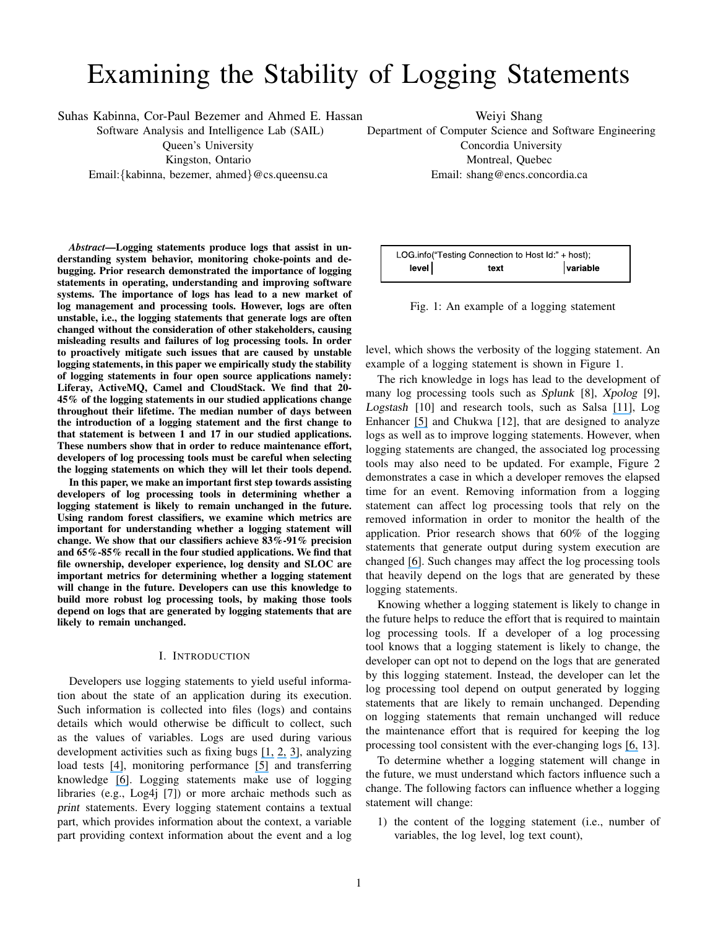# Examining the Stability of Logging Statements

Suhas Kabinna, Cor-Paul Bezemer and Ahmed E. Hassan

Software Analysis and Intelligence Lab (SAIL) Queen's University Kingston, Ontario Email:{kabinna, bezemer, ahmed}@cs.queensu.ca

*Abstract*—Logging statements produce logs that assist in understanding system behavior, monitoring choke-points and debugging. Prior research demonstrated the importance of logging statements in operating, understanding and improving software systems. The importance of logs has lead to a new market of log management and processing tools. However, logs are often unstable, i.e., the logging statements that generate logs are often changed without the consideration of other stakeholders, causing misleading results and failures of log processing tools. In order to proactively mitigate such issues that are caused by unstable logging statements, in this paper we empirically study the stability of logging statements in four open source applications namely: Liferay, ActiveMQ, Camel and CloudStack. We find that 20- 45% of the logging statements in our studied applications change throughout their lifetime. The median number of days between the introduction of a logging statement and the first change to that statement is between 1 and 17 in our studied applications. These numbers show that in order to reduce maintenance effort, developers of log processing tools must be careful when selecting the logging statements on which they will let their tools depend.

In this paper, we make an important first step towards assisting developers of log processing tools in determining whether a logging statement is likely to remain unchanged in the future. Using random forest classifiers, we examine which metrics are important for understanding whether a logging statement will change. We show that our classifiers achieve 83%-91% precision and 65%-85% recall in the four studied applications. We find that file ownership, developer experience, log density and SLOC are important metrics for determining whether a logging statement will change in the future. Developers can use this knowledge to build more robust log processing tools, by making those tools depend on logs that are generated by logging statements that are likely to remain unchanged.

#### I. INTRODUCTION

Developers use logging statements to yield useful information about the state of an application during its execution. Such information is collected into files (logs) and contains details which would otherwise be difficult to collect, such as the values of variables. Logs are used during various development activities such as fixing bugs [\[1,](https://www.researchgate.net/publication/221344724_Detecting_Large-Scale_System_Problems_by_Mining_Console_Logs?el=1_x_8&enrichId=rgreq-ff96aa87-877e-4080-8ec7-04803e7d87eb&enrichSource=Y292ZXJQYWdlOzI5NjY5NjcyMDtBUzozMzk5MDIyOTEwMzgyMTJAMTQ1ODA1MDQyOTUyMQ==) [2,](https://www.researchgate.net/publication/228705493_Mining_invariants_from_console_logs_for_system_problem_detection?el=1_x_8&enrichId=rgreq-ff96aa87-877e-4080-8ec7-04803e7d87eb&enrichSource=Y292ZXJQYWdlOzI5NjY5NjcyMDtBUzozMzk5MDIyOTEwMzgyMTJAMTQ1ODA1MDQyOTUyMQ==) [3\]](https://www.researchgate.net/publication/220765301_Execution_Anomaly_Detection_in_Distributed_Systems_through_Unstructured_Log_Analysis?el=1_x_8&enrichId=rgreq-ff96aa87-877e-4080-8ec7-04803e7d87eb&enrichSource=Y292ZXJQYWdlOzI5NjY5NjcyMDtBUzozMzk5MDIyOTEwMzgyMTJAMTQ1ODA1MDQyOTUyMQ==), analyzing load tests [\[4\]](https://www.researchgate.net/publication/261314436_Automatic_detection_of_performance_deviations_in_the_load_testing_of_Large_Scale_Systems?el=1_x_8&enrichId=rgreq-ff96aa87-877e-4080-8ec7-04803e7d87eb&enrichSource=Y292ZXJQYWdlOzI5NjY5NjcyMDtBUzozMzk5MDIyOTEwMzgyMTJAMTQ1ODA1MDQyOTUyMQ==), monitoring performance [\[5\]](https://www.researchgate.net/publication/220938683_Improving_Software_Diagnosability_via_Log_Enhancement?el=1_x_8&enrichId=rgreq-ff96aa87-877e-4080-8ec7-04803e7d87eb&enrichSource=Y292ZXJQYWdlOzI5NjY5NjcyMDtBUzozMzk5MDIyOTEwMzgyMTJAMTQ1ODA1MDQyOTUyMQ==) and transferring knowledge [\[6\]](https://www.researchgate.net/publication/221200488_An_Exploratory_Study_of_the_Evolution_of_Communicated_Information_about_the_Execution_of_Large_Software_Systems?el=1_x_8&enrichId=rgreq-ff96aa87-877e-4080-8ec7-04803e7d87eb&enrichSource=Y292ZXJQYWdlOzI5NjY5NjcyMDtBUzozMzk5MDIyOTEwMzgyMTJAMTQ1ODA1MDQyOTUyMQ==). Logging statements make use of logging libraries (e.g., Log4j [7]) or more archaic methods such as print statements. Every logging statement contains a textual part, which provides information about the context, a variable part providing context information about the event and a log Weiyi Shang

Department of Computer Science and Software Engineering Concordia University Montreal, Quebec Email: shang@encs.concordia.ca

LOG.info("Testing Connection to Host Id:" + host); level I text variable

Fig. 1: An example of a logging statement

level, which shows the verbosity of the logging statement. An example of a logging statement is shown in Figure 1.

The rich knowledge in logs has lead to the development of many log processing tools such as Splunk [8], Xpolog [9], Logstash [10] and research tools, such as Salsa [\[11\]](https://www.researchgate.net/publication/220851842_SALSA_Analyzing_Logs_as_StAte_Machines_1?el=1_x_8&enrichId=rgreq-ff96aa87-877e-4080-8ec7-04803e7d87eb&enrichSource=Y292ZXJQYWdlOzI5NjY5NjcyMDtBUzozMzk5MDIyOTEwMzgyMTJAMTQ1ODA1MDQyOTUyMQ==), Log Enhancer [\[5\]](https://www.researchgate.net/publication/220938683_Improving_Software_Diagnosability_via_Log_Enhancement?el=1_x_8&enrichId=rgreq-ff96aa87-877e-4080-8ec7-04803e7d87eb&enrichSource=Y292ZXJQYWdlOzI5NjY5NjcyMDtBUzozMzk5MDIyOTEwMzgyMTJAMTQ1ODA1MDQyOTUyMQ==) and Chukwa [12], that are designed to analyze logs as well as to improve logging statements. However, when logging statements are changed, the associated log processing tools may also need to be updated. For example, Figure 2 demonstrates a case in which a developer removes the elapsed time for an event. Removing information from a logging statement can affect log processing tools that rely on the removed information in order to monitor the health of the application. Prior research shows that 60% of the logging statements that generate output during system execution are changed [\[6\]](https://www.researchgate.net/publication/221200488_An_Exploratory_Study_of_the_Evolution_of_Communicated_Information_about_the_Execution_of_Large_Software_Systems?el=1_x_8&enrichId=rgreq-ff96aa87-877e-4080-8ec7-04803e7d87eb&enrichSource=Y292ZXJQYWdlOzI5NjY5NjcyMDtBUzozMzk5MDIyOTEwMzgyMTJAMTQ1ODA1MDQyOTUyMQ==). Such changes may affect the log processing tools that heavily depend on the logs that are generated by these logging statements.

Knowing whether a logging statement is likely to change in the future helps to reduce the effort that is required to maintain log processing tools. If a developer of a log processing tool knows that a logging statement is likely to change, the developer can opt not to depend on the logs that are generated by this logging statement. Instead, the developer can let the log processing tool depend on output generated by logging statements that are likely to remain unchanged. Depending on logging statements that remain unchanged will reduce the maintenance effort that is required for keeping the log processing tool consistent with the ever-changing logs [\[6,](https://www.researchgate.net/publication/221200488_An_Exploratory_Study_of_the_Evolution_of_Communicated_Information_about_the_Execution_of_Large_Software_Systems?el=1_x_8&enrichId=rgreq-ff96aa87-877e-4080-8ec7-04803e7d87eb&enrichSource=Y292ZXJQYWdlOzI5NjY5NjcyMDtBUzozMzk5MDIyOTEwMzgyMTJAMTQ1ODA1MDQyOTUyMQ==) 13].

To determine whether a logging statement will change in the future, we must understand which factors influence such a change. The following factors can influence whether a logging statement will change:

1) the content of the logging statement (i.e., number of variables, the log level, log text count),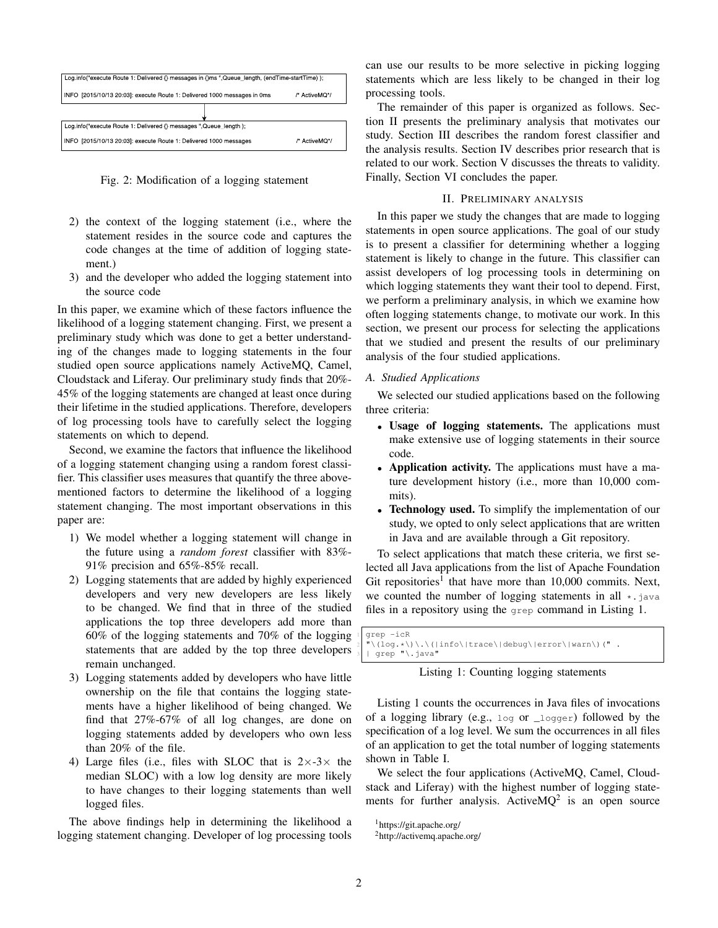



- 2) the context of the logging statement (i.e., where the statement resides in the source code and captures the code changes at the time of addition of logging statement.)
- 3) and the developer who added the logging statement into the source code

In this paper, we examine which of these factors influence the likelihood of a logging statement changing. First, we present a preliminary study which was done to get a better understanding of the changes made to logging statements in the four studied open source applications namely ActiveMQ, Camel, Cloudstack and Liferay. Our preliminary study finds that 20%- 45% of the logging statements are changed at least once during their lifetime in the studied applications. Therefore, developers of log processing tools have to carefully select the logging statements on which to depend.

Second, we examine the factors that influence the likelihood of a logging statement changing using a random forest classifier. This classifier uses measures that quantify the three abovementioned factors to determine the likelihood of a logging statement changing. The most important observations in this paper are:

- 1) We model whether a logging statement will change in the future using a *random forest* classifier with 83%- 91% precision and 65%-85% recall.
- 2) Logging statements that are added by highly experienced developers and very new developers are less likely to be changed. We find that in three of the studied applications the top three developers add more than 60% of the logging statements and 70% of the logging statements that are added by the top three developers remain unchanged.
- 3) Logging statements added by developers who have little ownership on the file that contains the logging statements have a higher likelihood of being changed. We find that 27%-67% of all log changes, are done on logging statements added by developers who own less than 20% of the file.
- 4) Large files (i.e., files with SLOC that is  $2 \times -3 \times$  the median SLOC) with a low log density are more likely to have changes to their logging statements than well logged files.

The above findings help in determining the likelihood a logging statement changing. Developer of log processing tools can use our results to be more selective in picking logging statements which are less likely to be changed in their log processing tools.

The remainder of this paper is organized as follows. Section II presents the preliminary analysis that motivates our study. Section III describes the random forest classifier and the analysis results. Section IV describes prior research that is related to our work. Section V discusses the threats to validity. Finally, Section VI concludes the paper.

# II. PRELIMINARY ANALYSIS

In this paper we study the changes that are made to logging statements in open source applications. The goal of our study is to present a classifier for determining whether a logging statement is likely to change in the future. This classifier can assist developers of log processing tools in determining on which logging statements they want their tool to depend. First, we perform a preliminary analysis, in which we examine how often logging statements change, to motivate our work. In this section, we present our process for selecting the applications that we studied and present the results of our preliminary analysis of the four studied applications.

# *A. Studied Applications*

We selected our studied applications based on the following three criteria:

- Usage of logging statements. The applications must make extensive use of logging statements in their source code.
- **Application activity.** The applications must have a mature development history (i.e., more than 10,000 commits).
- Technology used. To simplify the implementation of our study, we opted to only select applications that are written in Java and are available through a Git repository.

To select applications that match these criteria, we first selected all Java applications from the list of Apache Foundation Git repositories<sup>1</sup> that have more than  $10,000$  commits. Next, we counted the number of logging statements in all  $\star$ , java files in a repository using the grep command in Listing 1.

| $1$ grep $-icR$                                                                                                                                       |  |
|-------------------------------------------------------------------------------------------------------------------------------------------------------|--|
| $2 \mid " \setminus (log.* \setminus) \setminus . \setminus ( info \setminus  trace \setminus  decay \setminus  error \setminus  warm \setminus)$ (". |  |
| 3   grep "\.java"                                                                                                                                     |  |

Listing 1: Counting logging statements

Listing 1 counts the occurrences in Java files of invocations of a logging library (e.g., log or \_logger) followed by the specification of a log level. We sum the occurrences in all files of an application to get the total number of logging statements shown in Table I.

We select the four applications (ActiveMQ, Camel, Cloudstack and Liferay) with the highest number of logging statements for further analysis. Active  $MQ^2$  is an open source

<sup>1</sup>https://git.apache.org/

<sup>2</sup>http://activemq.apache.org/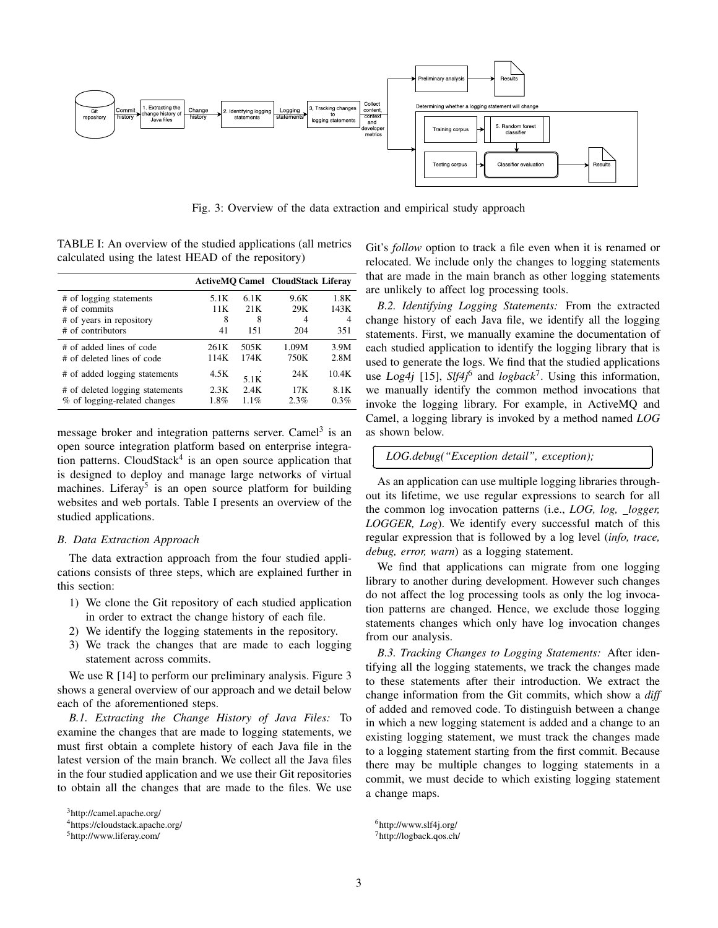

Fig. 3: Overview of the data extraction and empirical study approach

✄  $\overline{a}$ 

TABLE I: An overview of the studied applications (all metrics calculated using the latest HEAD of the repository)

|                                 |      |                 | <b>ActiveMO Camel CloudStack Liferav</b> |                |
|---------------------------------|------|-----------------|------------------------------------------|----------------|
| # of logging statements         | 5.1K | 6.1K            | 9.6K                                     | 1.8K           |
| # of commits                    | 11K  | 21 <sub>K</sub> | 29K                                      | 143K           |
| # of years in repository        | 8    | 8               | 4                                        | $\overline{4}$ |
| # of contributors               | 41   | 151             | 204                                      | 351            |
| # of added lines of code        | 261K | 505K            | 1.09M                                    | 3.9M           |
| # of deleted lines of code      | 114K | 174K            | 750K                                     | 2.8M           |
| # of added logging statements   | 4.5K | 5.1K            | 24K                                      | 10.4K          |
| # of deleted logging statements | 2.3K | 2.4K            | 17K                                      | 8.1K           |
| % of logging-related changes    | 1.8% | 1.1%            | 2.3%                                     | 0.3%           |

message broker and integration patterns server. Camel<sup>3</sup> is an open source integration platform based on enterprise integration patterns. CloudStack<sup>4</sup> is an open source application that is designed to deploy and manage large networks of virtual machines. Liferay<sup>5</sup> is an open source platform for building websites and web portals. Table I presents an overview of the studied applications.

#### *B. Data Extraction Approach*

The data extraction approach from the four studied applications consists of three steps, which are explained further in this section:

- 1) We clone the Git repository of each studied application in order to extract the change history of each file.
- 2) We identify the logging statements in the repository.
- 3) We track the changes that are made to each logging statement across commits.

We use R [14] to perform our preliminary analysis. Figure 3 shows a general overview of our approach and we detail below each of the aforementioned steps.

*B.1. Extracting the Change History of Java Files:* To examine the changes that are made to logging statements, we must first obtain a complete history of each Java file in the latest version of the main branch. We collect all the Java files in the four studied application and we use their Git repositories to obtain all the changes that are made to the files. We use Git's *follow* option to track a file even when it is renamed or relocated. We include only the changes to logging statements that are made in the main branch as other logging statements are unlikely to affect log processing tools.

*B.2. Identifying Logging Statements:* From the extracted change history of each Java file, we identify all the logging statements. First, we manually examine the documentation of each studied application to identify the logging library that is used to generate the logs. We find that the studied applications use Log4j [15], *Slf4j*<sup>6</sup> and *logback*<sup>7</sup> . Using this information, we manually identify the common method invocations that invoke the logging library. For example, in ActiveMQ and Camel, a logging library is invoked by a method named *LOG* as shown below.

*LOG.debug("Exception detail", exception);*

As an application can use multiple logging libraries throughout its lifetime, we use regular expressions to search for all the common log invocation patterns (i.e., *LOG, log, logger, LOGGER, Log*). We identify every successful match of this regular expression that is followed by a log level (*info, trace, debug, error, warn*) as a logging statement.

Ì. Į.

We find that applications can migrate from one logging library to another during development. However such changes do not affect the log processing tools as only the log invocation patterns are changed. Hence, we exclude those logging statements changes which only have log invocation changes from our analysis.

*B.3. Tracking Changes to Logging Statements:* After identifying all the logging statements, we track the changes made to these statements after their introduction. We extract the change information from the Git commits, which show a *diff* of added and removed code. To distinguish between a change in which a new logging statement is added and a change to an existing logging statement, we must track the changes made to a logging statement starting from the first commit. Because there may be multiple changes to logging statements in a commit, we must decide to which existing logging statement a change maps.

<sup>3</sup>http://camel.apache.org/

<sup>4</sup>https://cloudstack.apache.org/

<sup>5</sup>http://www.liferay.com/

<sup>6</sup>http://www.slf4j.org/

<sup>7</sup>http://logback.qos.ch/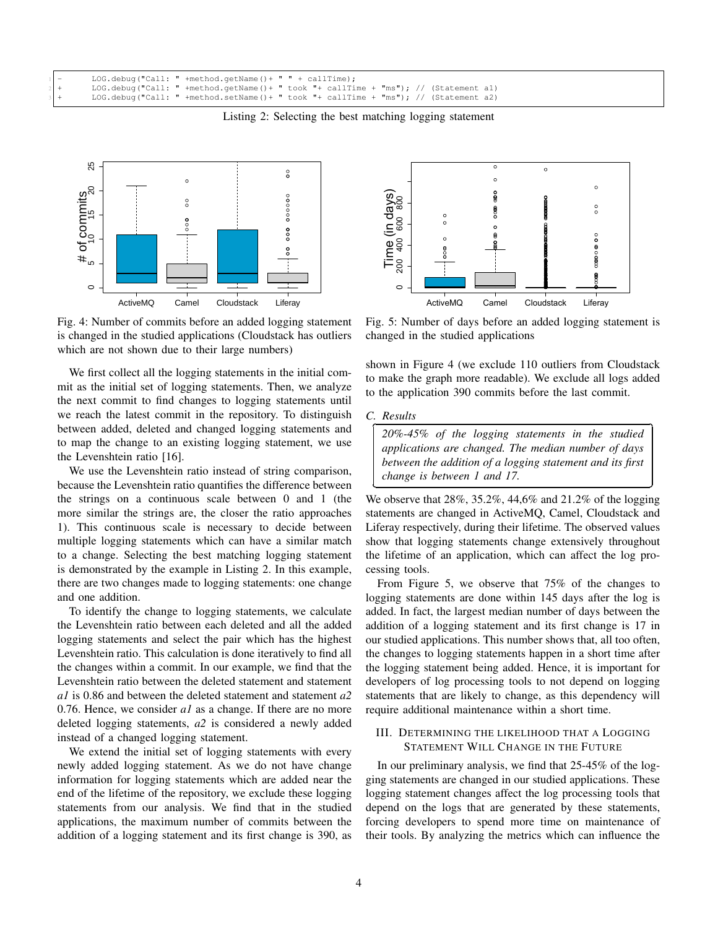| $1 \vert -$ | LOG.debuq("Call: " +method.qetName()+ " " + callTime);                              |
|-------------|-------------------------------------------------------------------------------------|
| $2 +$       | LOG.debug("Call: " +method.getName()+ " took "+ callTime + "ms"); // (Statement al) |
| $3 +$       | LOG.debug("Call: " +method.setName()+ " took "+ callTime + "ms"); // (Statement a2) |

Listing 2: Selecting the best matching logging statement



Fig. 4: Number of commits before an added logging statement is changed in the studied applications (Cloudstack has outliers which are not shown due to their large numbers)

We first collect all the logging statements in the initial commit as the initial set of logging statements. Then, we analyze the next commit to find changes to logging statements until we reach the latest commit in the repository. To distinguish between added, deleted and changed logging statements and to map the change to an existing logging statement, we use the Levenshtein ratio [16].

We use the Levenshtein ratio instead of string comparison, because the Levenshtein ratio quantifies the difference between the strings on a continuous scale between 0 and 1 (the more similar the strings are, the closer the ratio approaches 1). This continuous scale is necessary to decide between multiple logging statements which can have a similar match to a change. Selecting the best matching logging statement is demonstrated by the example in Listing 2. In this example, there are two changes made to logging statements: one change and one addition.

To identify the change to logging statements, we calculate the Levenshtein ratio between each deleted and all the added logging statements and select the pair which has the highest Levenshtein ratio. This calculation is done iteratively to find all the changes within a commit. In our example, we find that the Levenshtein ratio between the deleted statement and statement *a1* is 0.86 and between the deleted statement and statement *a2* 0.76. Hence, we consider *a1* as a change. If there are no more deleted logging statements, *a2* is considered a newly added instead of a changed logging statement.

We extend the initial set of logging statements with every newly added logging statement. As we do not have change information for logging statements which are added near the end of the lifetime of the repository, we exclude these logging statements from our analysis. We find that in the studied applications, the maximum number of commits between the addition of a logging statement and its first change is 390, as



Fig. 5: Number of days before an added logging statement is changed in the studied applications

shown in Figure 4 (we exclude 110 outliers from Cloudstack to make the graph more readable). We exclude all logs added to the application 390 commits before the last commit.

#### *C. Results* .<br>r

✂

*20%-45% of the logging statements in the studied applications are changed. The median number of days between the addition of a logging statement and its first change is between 1 and 17.*

Ì.

Į.

We observe that 28%, 35.2%, 44,6% and 21.2% of the logging statements are changed in ActiveMQ, Camel, Cloudstack and Liferay respectively, during their lifetime. The observed values show that logging statements change extensively throughout the lifetime of an application, which can affect the log processing tools.

From Figure 5, we observe that 75% of the changes to logging statements are done within 145 days after the log is added. In fact, the largest median number of days between the addition of a logging statement and its first change is 17 in our studied applications. This number shows that, all too often, the changes to logging statements happen in a short time after the logging statement being added. Hence, it is important for developers of log processing tools to not depend on logging statements that are likely to change, as this dependency will require additional maintenance within a short time.

#### III. DETERMINING THE LIKELIHOOD THAT A LOGGING STATEMENT WILL CHANGE IN THE FUTURE

In our preliminary analysis, we find that 25-45% of the logging statements are changed in our studied applications. These logging statement changes affect the log processing tools that depend on the logs that are generated by these statements, forcing developers to spend more time on maintenance of their tools. By analyzing the metrics which can influence the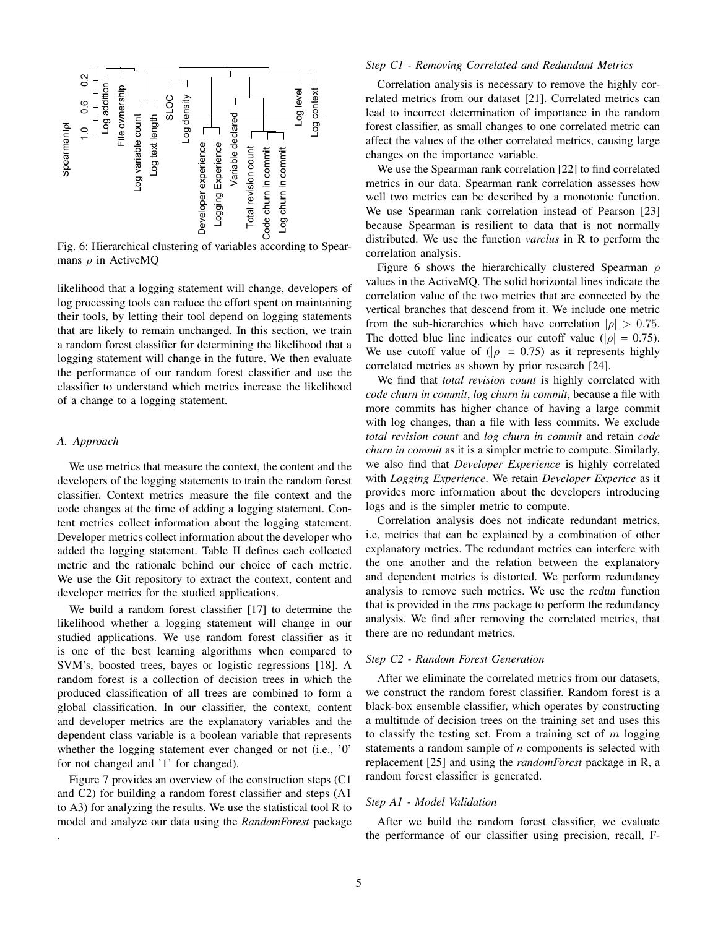

Fig. 6: Hierarchical clustering of variables according to Spearmans  $\rho$  in ActiveMO

likelihood that a logging statement will change, developers of log processing tools can reduce the effort spent on maintaining their tools, by letting their tool depend on logging statements that are likely to remain unchanged. In this section, we train a random forest classifier for determining the likelihood that a logging statement will change in the future. We then evaluate the performance of our random forest classifier and use the classifier to understand which metrics increase the likelihood of a change to a logging statement.

#### *A. Approach*

.

We use metrics that measure the context, the content and the developers of the logging statements to train the random forest classifier. Context metrics measure the file context and the code changes at the time of adding a logging statement. Content metrics collect information about the logging statement. Developer metrics collect information about the developer who added the logging statement. Table II defines each collected metric and the rationale behind our choice of each metric. We use the Git repository to extract the context, content and developer metrics for the studied applications.

We build a random forest classifier [17] to determine the likelihood whether a logging statement will change in our studied applications. We use random forest classifier as it is one of the best learning algorithms when compared to SVM's, boosted trees, bayes or logistic regressions [18]. A random forest is a collection of decision trees in which the produced classification of all trees are combined to form a global classification. In our classifier, the context, content and developer metrics are the explanatory variables and the dependent class variable is a boolean variable that represents whether the logging statement ever changed or not (i.e., '0' for not changed and '1' for changed).

Figure 7 provides an overview of the construction steps (C1 and C2) for building a random forest classifier and steps (A1 to A3) for analyzing the results. We use the statistical tool R to model and analyze our data using the *RandomForest* package

# *Step C1 - Removing Correlated and Redundant Metrics*

Correlation analysis is necessary to remove the highly correlated metrics from our dataset [21]. Correlated metrics can lead to incorrect determination of importance in the random forest classifier, as small changes to one correlated metric can affect the values of the other correlated metrics, causing large changes on the importance variable.

We use the Spearman rank correlation [22] to find correlated metrics in our data. Spearman rank correlation assesses how well two metrics can be described by a monotonic function. We use Spearman rank correlation instead of Pearson [23] because Spearman is resilient to data that is not normally distributed. We use the function *varclus* in R to perform the correlation analysis.

Figure 6 shows the hierarchically clustered Spearman  $\rho$ values in the ActiveMQ. The solid horizontal lines indicate the correlation value of the two metrics that are connected by the vertical branches that descend from it. We include one metric from the sub-hierarchies which have correlation  $|\rho| > 0.75$ . The dotted blue line indicates our cutoff value ( $|\rho| = 0.75$ ). We use cutoff value of ( $|\rho| = 0.75$ ) as it represents highly correlated metrics as shown by prior research [24].

We find that *total revision count* is highly correlated with *code churn in commit*, *log churn in commit*, because a file with more commits has higher chance of having a large commit with log changes, than a file with less commits. We exclude *total revision count* and *log churn in commit* and retain *code churn in commit* as it is a simpler metric to compute. Similarly, we also find that *Developer Experience* is highly correlated with *Logging Experience*. We retain *Developer Experice* as it provides more information about the developers introducing logs and is the simpler metric to compute.

Correlation analysis does not indicate redundant metrics, i.e, metrics that can be explained by a combination of other explanatory metrics. The redundant metrics can interfere with the one another and the relation between the explanatory and dependent metrics is distorted. We perform redundancy analysis to remove such metrics. We use the redun function that is provided in the rms package to perform the redundancy analysis. We find after removing the correlated metrics, that there are no redundant metrics.

# *Step C2 - Random Forest Generation*

After we eliminate the correlated metrics from our datasets, we construct the random forest classifier. Random forest is a black-box ensemble classifier, which operates by constructing a multitude of decision trees on the training set and uses this to classify the testing set. From a training set of  $m$  logging statements a random sample of *n* components is selected with replacement [25] and using the *randomForest* package in R, a random forest classifier is generated.

# *Step A1 - Model Validation*

After we build the random forest classifier, we evaluate the performance of our classifier using precision, recall, F-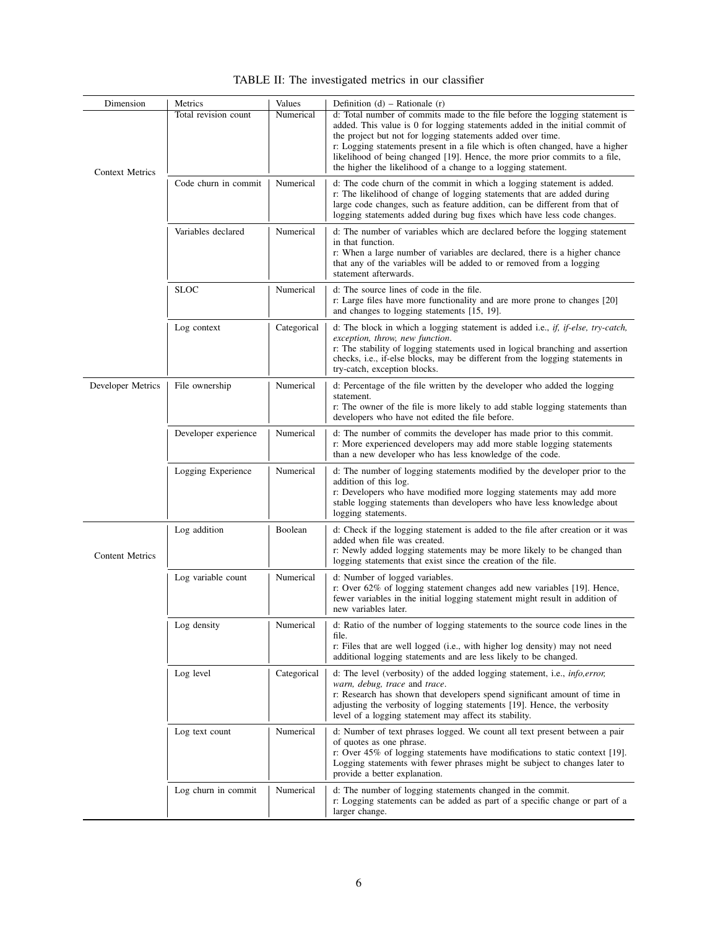|                        |                      |             | TABLE II: The investigated metrics in our classifier                                                                                                                                                                                                                                                                                                                                                                                                       |
|------------------------|----------------------|-------------|------------------------------------------------------------------------------------------------------------------------------------------------------------------------------------------------------------------------------------------------------------------------------------------------------------------------------------------------------------------------------------------------------------------------------------------------------------|
| Dimension              | Metrics              | Values      | Definition $(d)$ – Rationale $(r)$                                                                                                                                                                                                                                                                                                                                                                                                                         |
| <b>Context Metrics</b> | Total revision count | Numerical   | d: Total number of commits made to the file before the logging statement is<br>added. This value is 0 for logging statements added in the initial commit of<br>the project but not for logging statements added over time.<br>r: Logging statements present in a file which is often changed, have a higher<br>likelihood of being changed [19]. Hence, the more prior commits to a file,<br>the higher the likelihood of a change to a logging statement. |
|                        | Code churn in commit | Numerical   | d: The code churn of the commit in which a logging statement is added.<br>r: The likelihood of change of logging statements that are added during<br>large code changes, such as feature addition, can be different from that of<br>logging statements added during bug fixes which have less code changes.                                                                                                                                                |
|                        | Variables declared   | Numerical   | d: The number of variables which are declared before the logging statement<br>in that function.<br>r: When a large number of variables are declared, there is a higher chance<br>that any of the variables will be added to or removed from a logging<br>statement afterwards.                                                                                                                                                                             |
|                        | <b>SLOC</b>          | Numerical   | d: The source lines of code in the file.<br>r: Large files have more functionality and are more prone to changes [20]<br>and changes to logging statements [15, 19].                                                                                                                                                                                                                                                                                       |
|                        | Log context          | Categorical | d: The block in which a logging statement is added i.e., if, if-else, try-catch,<br>exception, throw, new function.<br>r: The stability of logging statements used in logical branching and assertion<br>checks, i.e., if-else blocks, may be different from the logging statements in<br>try-catch, exception blocks.                                                                                                                                     |
| Developer Metrics      | File ownership       | Numerical   | d: Percentage of the file written by the developer who added the logging<br>statement.<br>r: The owner of the file is more likely to add stable logging statements than<br>developers who have not edited the file before.                                                                                                                                                                                                                                 |
|                        | Developer experience | Numerical   | d: The number of commits the developer has made prior to this commit.<br>r: More experienced developers may add more stable logging statements<br>than a new developer who has less knowledge of the code.                                                                                                                                                                                                                                                 |
|                        | Logging Experience   | Numerical   | d: The number of logging statements modified by the developer prior to the<br>addition of this log.<br>r: Developers who have modified more logging statements may add more<br>stable logging statements than developers who have less knowledge about<br>logging statements.                                                                                                                                                                              |
| <b>Content Metrics</b> | Log addition         | Boolean     | d: Check if the logging statement is added to the file after creation or it was<br>added when file was created.<br>r: Newly added logging statements may be more likely to be changed than<br>logging statements that exist since the creation of the file.                                                                                                                                                                                                |
|                        | Log variable count   | Numerical   | d: Number of logged variables.<br>r: Over 62% of logging statement changes add new variables [19]. Hence,<br>fewer variables in the initial logging statement might result in addition of<br>new variables later.                                                                                                                                                                                                                                          |
|                        | Log density          | Numerical   | d: Ratio of the number of logging statements to the source code lines in the<br>file.<br>r: Files that are well logged (i.e., with higher log density) may not need<br>additional logging statements and are less likely to be changed.                                                                                                                                                                                                                    |
|                        | Log level            | Categorical | d: The level (verbosity) of the added logging statement, i.e., <i>info,error</i> ,<br>warn, debug, trace and trace.<br>r: Research has shown that developers spend significant amount of time in<br>adjusting the verbosity of logging statements [19]. Hence, the verbosity<br>level of a logging statement may affect its stability.                                                                                                                     |
|                        | Log text count       | Numerical   | d: Number of text phrases logged. We count all text present between a pair<br>of quotes as one phrase.<br>r: Over 45% of logging statements have modifications to static context [19].<br>Logging statements with fewer phrases might be subject to changes later to<br>provide a better explanation.                                                                                                                                                      |
|                        | Log churn in commit  | Numerical   | d: The number of logging statements changed in the commit.<br>r: Logging statements can be added as part of a specific change or part of a<br>larger change.                                                                                                                                                                                                                                                                                               |

| TABLE II: The investigated metrics in our classifier |  |  |  |
|------------------------------------------------------|--|--|--|
|                                                      |  |  |  |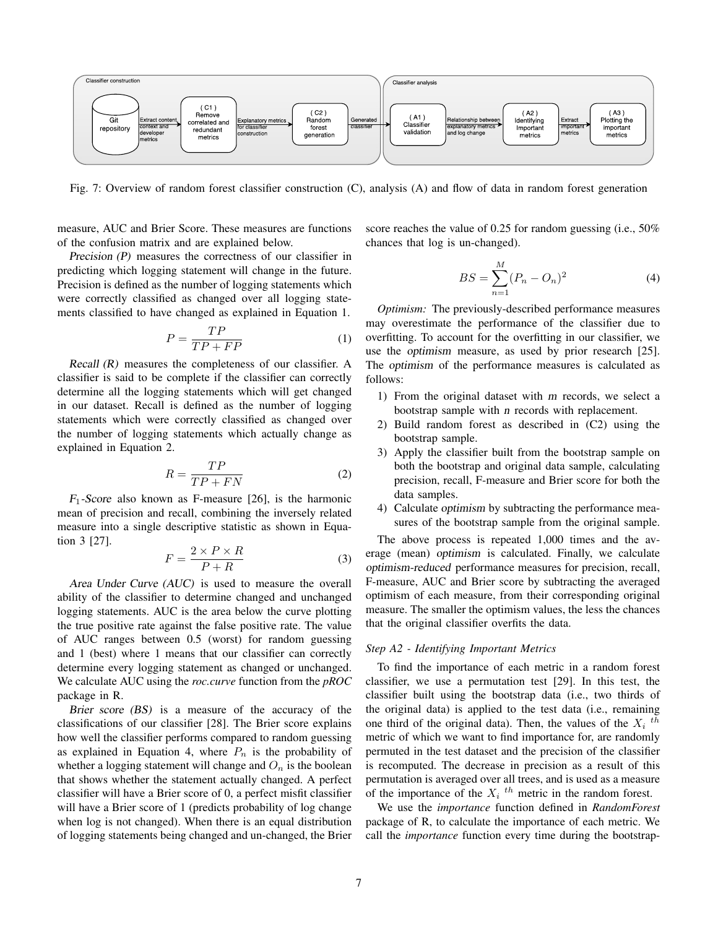

Fig. 7: Overview of random forest classifier construction (C), analysis (A) and flow of data in random forest generation

measure, AUC and Brier Score. These measures are functions of the confusion matrix and are explained below.

Precision (P) measures the correctness of our classifier in predicting which logging statement will change in the future. Precision is defined as the number of logging statements which were correctly classified as changed over all logging statements classified to have changed as explained in Equation 1.

$$
P = \frac{TP}{TP + FP} \tag{1}
$$

Recall (R) measures the completeness of our classifier. A classifier is said to be complete if the classifier can correctly determine all the logging statements which will get changed in our dataset. Recall is defined as the number of logging statements which were correctly classified as changed over the number of logging statements which actually change as explained in Equation 2.

$$
R = \frac{TP}{TP + FN} \tag{2}
$$

 $F_1$ -Score also known as F-measure [26], is the harmonic mean of precision and recall, combining the inversely related measure into a single descriptive statistic as shown in Equation 3 [27].

$$
F = \frac{2 \times P \times R}{P + R} \tag{3}
$$

Area Under Curve (AUC) is used to measure the overall ability of the classifier to determine changed and unchanged logging statements. AUC is the area below the curve plotting the true positive rate against the false positive rate. The value of AUC ranges between 0.5 (worst) for random guessing and 1 (best) where 1 means that our classifier can correctly determine every logging statement as changed or unchanged. We calculate AUC using the *roc.curve* function from the *pROC* package in R.

Brier score (BS) is a measure of the accuracy of the classifications of our classifier [28]. The Brier score explains how well the classifier performs compared to random guessing as explained in Equation 4, where  $P_n$  is the probability of whether a logging statement will change and  $O_n$  is the boolean that shows whether the statement actually changed. A perfect classifier will have a Brier score of 0, a perfect misfit classifier will have a Brier score of 1 (predicts probability of log change when log is not changed). When there is an equal distribution of logging statements being changed and un-changed, the Brier score reaches the value of 0.25 for random guessing (i.e., 50%) chances that log is un-changed).

$$
BS = \sum_{n=1}^{M} (P_n - O_n)^2
$$
 (4)

*Optimism:* The previously-described performance measures may overestimate the performance of the classifier due to overfitting. To account for the overfitting in our classifier, we use the optimism measure, as used by prior research [25]. The optimism of the performance measures is calculated as follows:

- 1) From the original dataset with m records, we select a bootstrap sample with n records with replacement.
- 2) Build random forest as described in (C2) using the bootstrap sample.
- 3) Apply the classifier built from the bootstrap sample on both the bootstrap and original data sample, calculating precision, recall, F-measure and Brier score for both the data samples.
- 4) Calculate optimism by subtracting the performance measures of the bootstrap sample from the original sample.

The above process is repeated 1,000 times and the average (mean) optimism is calculated. Finally, we calculate optimism-reduced performance measures for precision, recall, F-measure, AUC and Brier score by subtracting the averaged optimism of each measure, from their corresponding original measure. The smaller the optimism values, the less the chances that the original classifier overfits the data.

# *Step A2 - Identifying Important Metrics*

To find the importance of each metric in a random forest classifier, we use a permutation test [29]. In this test, the classifier built using the bootstrap data (i.e., two thirds of the original data) is applied to the test data (i.e., remaining one third of the original data). Then, the values of the  $X_i$ <sup>th</sup> metric of which we want to find importance for, are randomly permuted in the test dataset and the precision of the classifier is recomputed. The decrease in precision as a result of this permutation is averaged over all trees, and is used as a measure of the importance of the  $X_i$ <sup>th</sup> metric in the random forest.

We use the *importance* function defined in *RandomForest* package of R, to calculate the importance of each metric. We call the *importance* function every time during the bootstrap-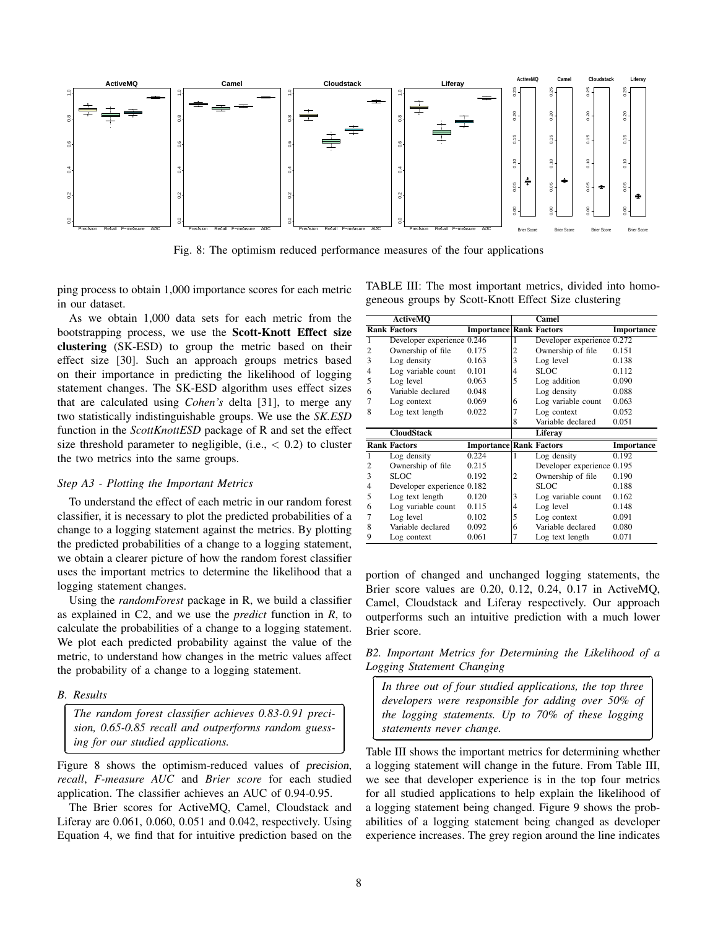

Fig. 8: The optimism reduced performance measures of the four applications

ping process to obtain 1,000 importance scores for each metric in our dataset.

As we obtain 1,000 data sets for each metric from the bootstrapping process, we use the Scott-Knott Effect size clustering (SK-ESD) to group the metric based on their effect size [30]. Such an approach groups metrics based on their importance in predicting the likelihood of logging statement changes. The SK-ESD algorithm uses effect sizes that are calculated using *Cohen's* delta [31], to merge any two statistically indistinguishable groups. We use the *SK.ESD* function in the *ScottKnottESD* package of R and set the effect size threshold parameter to negligible, (i.e.,  $< 0.2$ ) to cluster the two metrics into the same groups.

# *Step A3 - Plotting the Important Metrics*

To understand the effect of each metric in our random forest classifier, it is necessary to plot the predicted probabilities of a change to a logging statement against the metrics. By plotting the predicted probabilities of a change to a logging statement, we obtain a clearer picture of how the random forest classifier uses the important metrics to determine the likelihood that a logging statement changes.

Using the *randomForest* package in R, we build a classifier as explained in C2, and we use the *predict* function in *R*, to calculate the probabilities of a change to a logging statement. We plot each predicted probability against the value of the metric, to understand how changes in the metric values affect the probability of a change to a logging statement.

#### *B. Results* ✄

✂

*The random forest classifier achieves 0.83-0.91 precision, 0.65-0.85 recall and outperforms random guessing for our studied applications.*

Figure 8 shows the optimism-reduced values of precision, *recall*, *F-measure AUC* and *Brier score* for each studied application. The classifier achieves an AUC of 0.94-0.95.

The Brier scores for ActiveMQ, Camel, Cloudstack and Liferay are 0.061, 0.060, 0.051 and 0.042, respectively. Using Equation 4, we find that for intuitive prediction based on the

TABLE III: The most important metrics, divided into homogeneous groups by Scott-Knott Effect Size clustering

|              | <b>ActiveMO</b>            |                                |   | Camel                      |                   |
|--------------|----------------------------|--------------------------------|---|----------------------------|-------------------|
|              | <b>Rank Factors</b>        | <b>Importance Rank Factors</b> |   |                            | <b>Importance</b> |
| $\mathbf{1}$ | Developer experience 0.246 |                                |   | Developer experience 0.272 |                   |
| 2            | Ownership of file          | 0.175                          | 2 | Ownership of file          | 0.151             |
| 3            | Log density                | 0.163                          | 3 | Log level                  | 0.138             |
| 4            | Log variable count         | 0.101                          | 4 | <b>SLOC</b>                | 0.112             |
| 5            | Log level                  | 0.063                          | 5 | Log addition               | 0.090             |
| 6            | Variable declared          | 0.048                          |   | Log density                | 0.088             |
| 7            | Log context                | 0.069                          | 6 | Log variable count         | 0.063             |
| 8            | Log text length            | 0.022                          | 7 | Log context                | 0.052             |
|              |                            |                                | 8 | Variable declared          | 0.051             |
|              | <b>CloudStack</b>          |                                |   | Liferay                    |                   |
|              | <b>Rank Factors</b>        | <b>Importance Rank Factors</b> |   |                            | Importance        |
| 1            | Log density                | 0.224                          | 1 | Log density                | 0.192             |
| 2            | Ownership of file          | 0.215                          |   | Developer experience 0.195 |                   |
| 3            | SLOC.                      | 0.192                          | 2 | Ownership of file          | 0.190             |
| 4            | Developer experience 0.182 |                                |   | <b>SLOC</b>                | 0.188             |
| 5            | Log text length            | 0.120                          | 3 | Log variable count         | 0.162             |
| 6            | Log variable count         | 0.115                          | 4 | Log level                  | 0.148             |
| 7            | Log level                  | 0.102                          | 5 | Log context                | 0.091             |
| 8            | Variable declared          | 0.092                          | 6 | Variable declared          | 0.080             |
| 9            | Log context                | 0.061                          | 7 | Log text length            | 0.071             |

portion of changed and unchanged logging statements, the Brier score values are 0.20, 0.12, 0.24, 0.17 in ActiveMQ, Camel, Cloudstack and Liferay respectively. Our approach outperforms such an intuitive prediction with a much lower Brier score.

*B2. Important Metrics for Determining the Likelihood of a Logging Statement Changing* ✄ Ĭ.

*In three out of four studied applications, the top three developers were responsible for adding over 50% of the logging statements. Up to 70% of these logging statements never change.*

✁

Table III shows the important metrics for determining whether a logging statement will change in the future. From Table III, we see that developer experience is in the top four metrics for all studied applications to help explain the likelihood of a logging statement being changed. Figure 9 shows the probabilities of a logging statement being changed as developer experience increases. The grey region around the line indicates

Ĭ.

 $^{\prime}$ 

 $\overline{a}$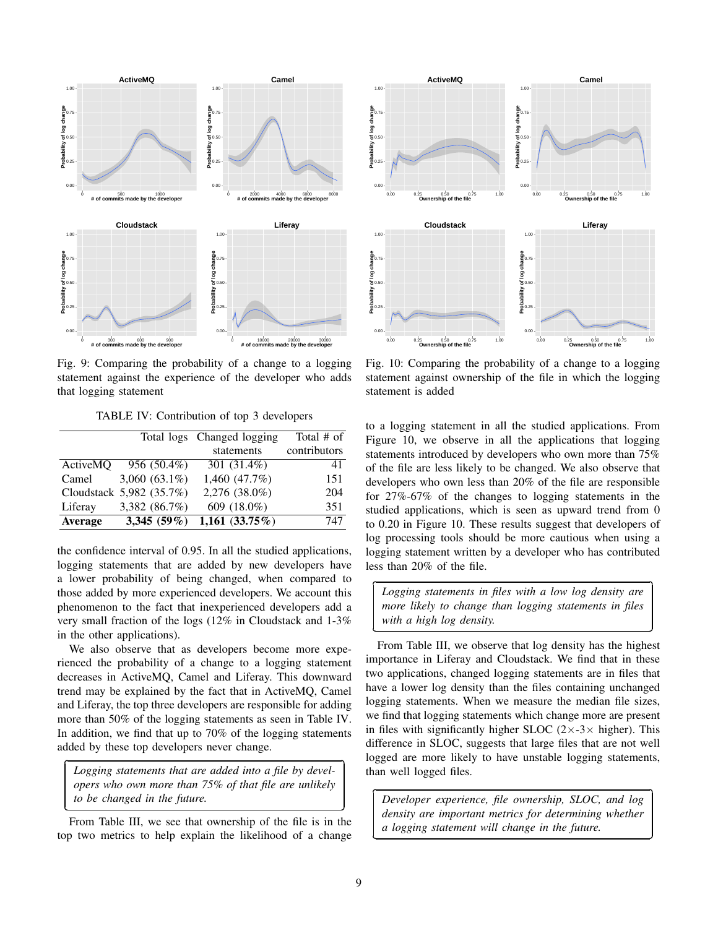

Fig. 9: Comparing the probability of a change to a logging statement against the experience of the developer who adds that logging statement

TABLE IV: Contribution of top 3 developers

|                |                          | Total logs Changed logging | Total # of   |
|----------------|--------------------------|----------------------------|--------------|
|                |                          | statements                 | contributors |
| ActiveMQ       | 956 (50.4%)              | 301 (31.4%)                | 41           |
| Camel          | 3,060 $(63.1\%)$         | 1,460 (47.7%)              | 151          |
|                | Cloudstack 5,982 (35.7%) | 2,276 (38.0%)              | 204          |
| Liferay        | 3,382 (86.7%)            | 609 (18.0%)                | 351          |
| <b>Average</b> | 3,345(59%)               | $1,161$ $(33.75\%)$        | 747          |

the confidence interval of 0.95. In all the studied applications, logging statements that are added by new developers have a lower probability of being changed, when compared to those added by more experienced developers. We account this phenomenon to the fact that inexperienced developers add a very small fraction of the logs (12% in Cloudstack and 1-3% in the other applications).

We also observe that as developers become more experienced the probability of a change to a logging statement decreases in ActiveMQ, Camel and Liferay. This downward trend may be explained by the fact that in ActiveMQ, Camel and Liferay, the top three developers are responsible for adding more than 50% of the logging statements as seen in Table IV. In addition, we find that up to 70% of the logging statements added by these top developers never change.

*Logging statements that are added into a file by developers who own more than 75% of that file are unlikely to be changed in the future.*

✄

 $\overline{a}$ Į. From Table III, we see that ownership of the file is in the top two metrics to help explain the likelihood of a change



Fig. 10: Comparing the probability of a change to a logging statement against ownership of the file in which the logging statement is added

to a logging statement in all the studied applications. From Figure 10, we observe in all the applications that logging statements introduced by developers who own more than 75% of the file are less likely to be changed. We also observe that developers who own less than 20% of the file are responsible for 27%-67% of the changes to logging statements in the studied applications, which is seen as upward trend from 0 to 0.20 in Figure 10. These results suggest that developers of log processing tools should be more cautious when using a logging statement written by a developer who has contributed less than 20% of the file.

*Logging statements in files with a low log density are more likely to change than logging statements in files with a high log density.*

l.

Į.

Ĭ.

Į.

From Table III, we observe that log density has the highest importance in Liferay and Cloudstack. We find that in these two applications, changed logging statements are in files that have a lower log density than the files containing unchanged logging statements. When we measure the median file sizes, we find that logging statements which change more are present in files with significantly higher SLOC ( $2 \times -3 \times$  higher). This difference in SLOC, suggests that large files that are not well logged are more likely to have unstable logging statements, than well logged files.

*Developer experience, file ownership, SLOC, and log density are important metrics for determining whether a logging statement will change in the future.*

Ĭ.

✄

✂

✄

 $\overline{a}$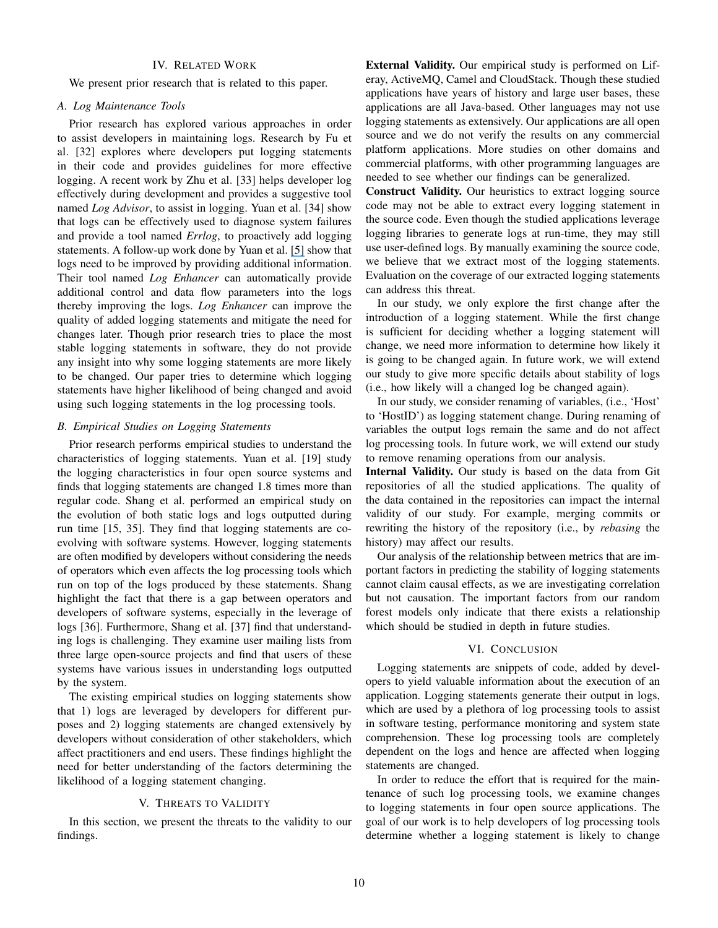# IV. RELATED WORK

We present prior research that is related to this paper.

#### *A. Log Maintenance Tools*

Prior research has explored various approaches in order to assist developers in maintaining logs. Research by Fu et al. [32] explores where developers put logging statements in their code and provides guidelines for more effective logging. A recent work by Zhu et al. [33] helps developer log effectively during development and provides a suggestive tool named *Log Advisor*, to assist in logging. Yuan et al. [34] show that logs can be effectively used to diagnose system failures and provide a tool named *Errlog*, to proactively add logging statements. A follow-up work done by Yuan et al. [\[5\]](https://www.researchgate.net/publication/220938683_Improving_Software_Diagnosability_via_Log_Enhancement?el=1_x_8&enrichId=rgreq-ff96aa87-877e-4080-8ec7-04803e7d87eb&enrichSource=Y292ZXJQYWdlOzI5NjY5NjcyMDtBUzozMzk5MDIyOTEwMzgyMTJAMTQ1ODA1MDQyOTUyMQ==) show that logs need to be improved by providing additional information. Their tool named *Log Enhancer* can automatically provide additional control and data flow parameters into the logs thereby improving the logs. *Log Enhancer* can improve the quality of added logging statements and mitigate the need for changes later. Though prior research tries to place the most stable logging statements in software, they do not provide any insight into why some logging statements are more likely to be changed. Our paper tries to determine which logging statements have higher likelihood of being changed and avoid using such logging statements in the log processing tools.

# *B. Empirical Studies on Logging Statements*

Prior research performs empirical studies to understand the characteristics of logging statements. Yuan et al. [19] study the logging characteristics in four open source systems and finds that logging statements are changed 1.8 times more than regular code. Shang et al. performed an empirical study on the evolution of both static logs and logs outputted during run time [15, 35]. They find that logging statements are coevolving with software systems. However, logging statements are often modified by developers without considering the needs of operators which even affects the log processing tools which run on top of the logs produced by these statements. Shang highlight the fact that there is a gap between operators and developers of software systems, especially in the leverage of logs [36]. Furthermore, Shang et al. [37] find that understanding logs is challenging. They examine user mailing lists from three large open-source projects and find that users of these systems have various issues in understanding logs outputted by the system.

The existing empirical studies on logging statements show that 1) logs are leveraged by developers for different purposes and 2) logging statements are changed extensively by developers without consideration of other stakeholders, which affect practitioners and end users. These findings highlight the need for better understanding of the factors determining the likelihood of a logging statement changing.

#### V. THREATS TO VALIDITY

In this section, we present the threats to the validity to our findings.

External Validity. Our empirical study is performed on Liferay, ActiveMQ, Camel and CloudStack. Though these studied applications have years of history and large user bases, these applications are all Java-based. Other languages may not use logging statements as extensively. Our applications are all open source and we do not verify the results on any commercial platform applications. More studies on other domains and commercial platforms, with other programming languages are needed to see whether our findings can be generalized.

Construct Validity. Our heuristics to extract logging source code may not be able to extract every logging statement in the source code. Even though the studied applications leverage logging libraries to generate logs at run-time, they may still use user-defined logs. By manually examining the source code, we believe that we extract most of the logging statements. Evaluation on the coverage of our extracted logging statements can address this threat.

In our study, we only explore the first change after the introduction of a logging statement. While the first change is sufficient for deciding whether a logging statement will change, we need more information to determine how likely it is going to be changed again. In future work, we will extend our study to give more specific details about stability of logs (i.e., how likely will a changed log be changed again).

In our study, we consider renaming of variables, (i.e., 'Host' to 'HostID') as logging statement change. During renaming of variables the output logs remain the same and do not affect log processing tools. In future work, we will extend our study to remove renaming operations from our analysis.

Internal Validity. Our study is based on the data from Git repositories of all the studied applications. The quality of the data contained in the repositories can impact the internal validity of our study. For example, merging commits or rewriting the history of the repository (i.e., by *rebasing* the history) may affect our results.

Our analysis of the relationship between metrics that are important factors in predicting the stability of logging statements cannot claim causal effects, as we are investigating correlation but not causation. The important factors from our random forest models only indicate that there exists a relationship which should be studied in depth in future studies.

#### VI. CONCLUSION

Logging statements are snippets of code, added by developers to yield valuable information about the execution of an application. Logging statements generate their output in logs, which are used by a plethora of log processing tools to assist in software testing, performance monitoring and system state comprehension. These log processing tools are completely dependent on the logs and hence are affected when logging statements are changed.

In order to reduce the effort that is required for the maintenance of such log processing tools, we examine changes to logging statements in four open source applications. The goal of our work is to help developers of log processing tools determine whether a logging statement is likely to change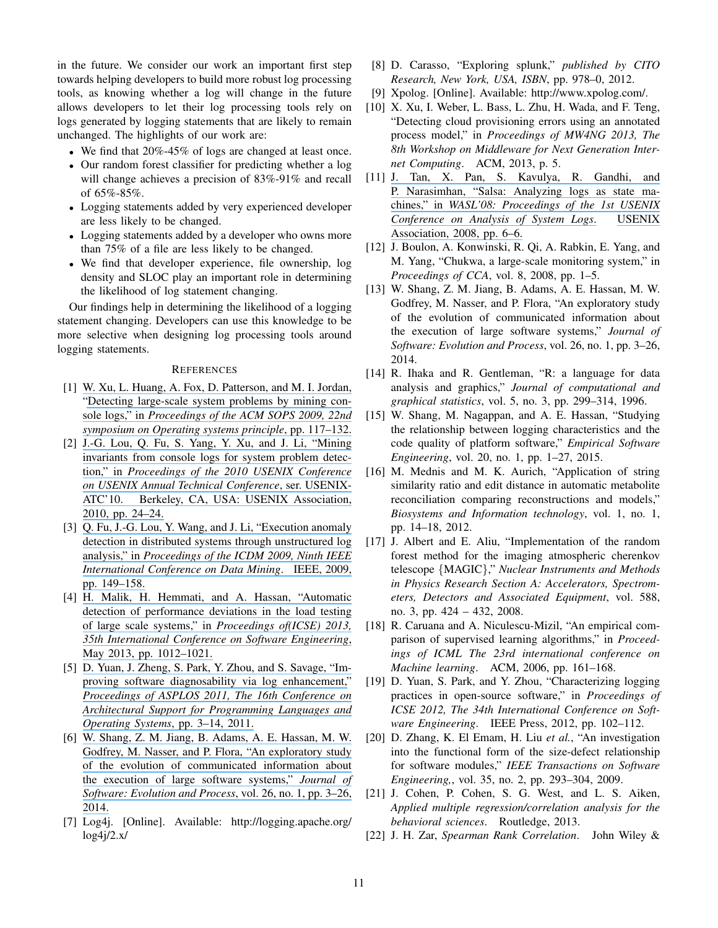in the future. We consider our work an important first step towards helping developers to build more robust log processing tools, as knowing whether a log will change in the future allows developers to let their log processing tools rely on logs generated by logging statements that are likely to remain unchanged. The highlights of our work are:

- We find that 20%-45% of logs are changed at least once.
- Our random forest classifier for predicting whether a log will change achieves a precision of 83%-91% and recall of 65%-85%.
- Logging statements added by very experienced developer are less likely to be changed.
- Logging statements added by a developer who owns more than 75% of a file are less likely to be changed.
- We find that developer experience, file ownership, log density and SLOC play an important role in determining the likelihood of log statement changing.

Our findings help in determining the likelihood of a logging statement changing. Developers can use this knowledge to be more selective when designing log processing tools around logging statements.

#### **REFERENCES**

- [1] [W. Xu, L. Huang, A. Fox, D. Patterson, and M. I. Jordan,](https://www.researchgate.net/publication/221344724_Detecting_Large-Scale_System_Problems_by_Mining_Console_Logs?el=1_x_8&enrichId=rgreq-ff96aa87-877e-4080-8ec7-04803e7d87eb&enrichSource=Y292ZXJQYWdlOzI5NjY5NjcyMDtBUzozMzk5MDIyOTEwMzgyMTJAMTQ1ODA1MDQyOTUyMQ==) ["Detecting large-scale system problems by mining con](https://www.researchgate.net/publication/221344724_Detecting_Large-Scale_System_Problems_by_Mining_Console_Logs?el=1_x_8&enrichId=rgreq-ff96aa87-877e-4080-8ec7-04803e7d87eb&enrichSource=Y292ZXJQYWdlOzI5NjY5NjcyMDtBUzozMzk5MDIyOTEwMzgyMTJAMTQ1ODA1MDQyOTUyMQ==)sole logs," in *[Proceedings of the ACM SOPS 2009, 22nd](https://www.researchgate.net/publication/221344724_Detecting_Large-Scale_System_Problems_by_Mining_Console_Logs?el=1_x_8&enrichId=rgreq-ff96aa87-877e-4080-8ec7-04803e7d87eb&enrichSource=Y292ZXJQYWdlOzI5NjY5NjcyMDtBUzozMzk5MDIyOTEwMzgyMTJAMTQ1ODA1MDQyOTUyMQ==) [symposium on Operating systems principle](https://www.researchgate.net/publication/221344724_Detecting_Large-Scale_System_Problems_by_Mining_Console_Logs?el=1_x_8&enrichId=rgreq-ff96aa87-877e-4080-8ec7-04803e7d87eb&enrichSource=Y292ZXJQYWdlOzI5NjY5NjcyMDtBUzozMzk5MDIyOTEwMzgyMTJAMTQ1ODA1MDQyOTUyMQ==)*, pp. 117–132.
- [2] [J.-G. Lou, Q. Fu, S. Yang, Y. Xu, and J. Li, "Mining](https://www.researchgate.net/publication/228705493_Mining_invariants_from_console_logs_for_system_problem_detection?el=1_x_8&enrichId=rgreq-ff96aa87-877e-4080-8ec7-04803e7d87eb&enrichSource=Y292ZXJQYWdlOzI5NjY5NjcyMDtBUzozMzk5MDIyOTEwMzgyMTJAMTQ1ODA1MDQyOTUyMQ==) [invariants from console logs for system problem detec](https://www.researchgate.net/publication/228705493_Mining_invariants_from_console_logs_for_system_problem_detection?el=1_x_8&enrichId=rgreq-ff96aa87-877e-4080-8ec7-04803e7d87eb&enrichSource=Y292ZXJQYWdlOzI5NjY5NjcyMDtBUzozMzk5MDIyOTEwMzgyMTJAMTQ1ODA1MDQyOTUyMQ==)tion," in *[Proceedings of the 2010 USENIX Conference](https://www.researchgate.net/publication/228705493_Mining_invariants_from_console_logs_for_system_problem_detection?el=1_x_8&enrichId=rgreq-ff96aa87-877e-4080-8ec7-04803e7d87eb&enrichSource=Y292ZXJQYWdlOzI5NjY5NjcyMDtBUzozMzk5MDIyOTEwMzgyMTJAMTQ1ODA1MDQyOTUyMQ==) [on USENIX Annual Technical Conference](https://www.researchgate.net/publication/228705493_Mining_invariants_from_console_logs_for_system_problem_detection?el=1_x_8&enrichId=rgreq-ff96aa87-877e-4080-8ec7-04803e7d87eb&enrichSource=Y292ZXJQYWdlOzI5NjY5NjcyMDtBUzozMzk5MDIyOTEwMzgyMTJAMTQ1ODA1MDQyOTUyMQ==)*, ser. USENIX-[ATC'10. Berkeley, CA, USA: USENIX Association,](https://www.researchgate.net/publication/228705493_Mining_invariants_from_console_logs_for_system_problem_detection?el=1_x_8&enrichId=rgreq-ff96aa87-877e-4080-8ec7-04803e7d87eb&enrichSource=Y292ZXJQYWdlOzI5NjY5NjcyMDtBUzozMzk5MDIyOTEwMzgyMTJAMTQ1ODA1MDQyOTUyMQ==) [2010, pp. 24–24.](https://www.researchgate.net/publication/228705493_Mining_invariants_from_console_logs_for_system_problem_detection?el=1_x_8&enrichId=rgreq-ff96aa87-877e-4080-8ec7-04803e7d87eb&enrichSource=Y292ZXJQYWdlOzI5NjY5NjcyMDtBUzozMzk5MDIyOTEwMzgyMTJAMTQ1ODA1MDQyOTUyMQ==)
- [3] [Q. Fu, J.-G. Lou, Y. Wang, and J. Li, "Execution anomaly](https://www.researchgate.net/publication/220765301_Execution_Anomaly_Detection_in_Distributed_Systems_through_Unstructured_Log_Analysis?el=1_x_8&enrichId=rgreq-ff96aa87-877e-4080-8ec7-04803e7d87eb&enrichSource=Y292ZXJQYWdlOzI5NjY5NjcyMDtBUzozMzk5MDIyOTEwMzgyMTJAMTQ1ODA1MDQyOTUyMQ==) [detection in distributed systems through unstructured log](https://www.researchgate.net/publication/220765301_Execution_Anomaly_Detection_in_Distributed_Systems_through_Unstructured_Log_Analysis?el=1_x_8&enrichId=rgreq-ff96aa87-877e-4080-8ec7-04803e7d87eb&enrichSource=Y292ZXJQYWdlOzI5NjY5NjcyMDtBUzozMzk5MDIyOTEwMzgyMTJAMTQ1ODA1MDQyOTUyMQ==) analysis," in *[Proceedings of the ICDM 2009, Ninth IEEE](https://www.researchgate.net/publication/220765301_Execution_Anomaly_Detection_in_Distributed_Systems_through_Unstructured_Log_Analysis?el=1_x_8&enrichId=rgreq-ff96aa87-877e-4080-8ec7-04803e7d87eb&enrichSource=Y292ZXJQYWdlOzI5NjY5NjcyMDtBUzozMzk5MDIyOTEwMzgyMTJAMTQ1ODA1MDQyOTUyMQ==) [International Conference on Data Mining](https://www.researchgate.net/publication/220765301_Execution_Anomaly_Detection_in_Distributed_Systems_through_Unstructured_Log_Analysis?el=1_x_8&enrichId=rgreq-ff96aa87-877e-4080-8ec7-04803e7d87eb&enrichSource=Y292ZXJQYWdlOzI5NjY5NjcyMDtBUzozMzk5MDIyOTEwMzgyMTJAMTQ1ODA1MDQyOTUyMQ==)*. IEEE, 2009, [pp. 149–158.](https://www.researchgate.net/publication/220765301_Execution_Anomaly_Detection_in_Distributed_Systems_through_Unstructured_Log_Analysis?el=1_x_8&enrichId=rgreq-ff96aa87-877e-4080-8ec7-04803e7d87eb&enrichSource=Y292ZXJQYWdlOzI5NjY5NjcyMDtBUzozMzk5MDIyOTEwMzgyMTJAMTQ1ODA1MDQyOTUyMQ==)
- [4] [H. Malik, H. Hemmati, and A. Hassan, "Automatic](https://www.researchgate.net/publication/261314436_Automatic_detection_of_performance_deviations_in_the_load_testing_of_Large_Scale_Systems?el=1_x_8&enrichId=rgreq-ff96aa87-877e-4080-8ec7-04803e7d87eb&enrichSource=Y292ZXJQYWdlOzI5NjY5NjcyMDtBUzozMzk5MDIyOTEwMzgyMTJAMTQ1ODA1MDQyOTUyMQ==) [detection of performance deviations in the load testing](https://www.researchgate.net/publication/261314436_Automatic_detection_of_performance_deviations_in_the_load_testing_of_Large_Scale_Systems?el=1_x_8&enrichId=rgreq-ff96aa87-877e-4080-8ec7-04803e7d87eb&enrichSource=Y292ZXJQYWdlOzI5NjY5NjcyMDtBUzozMzk5MDIyOTEwMzgyMTJAMTQ1ODA1MDQyOTUyMQ==) of large scale systems," in *[Proceedings of\(ICSE\) 2013,](https://www.researchgate.net/publication/261314436_Automatic_detection_of_performance_deviations_in_the_load_testing_of_Large_Scale_Systems?el=1_x_8&enrichId=rgreq-ff96aa87-877e-4080-8ec7-04803e7d87eb&enrichSource=Y292ZXJQYWdlOzI5NjY5NjcyMDtBUzozMzk5MDIyOTEwMzgyMTJAMTQ1ODA1MDQyOTUyMQ==) [35th International Conference on Software Engineering](https://www.researchgate.net/publication/261314436_Automatic_detection_of_performance_deviations_in_the_load_testing_of_Large_Scale_Systems?el=1_x_8&enrichId=rgreq-ff96aa87-877e-4080-8ec7-04803e7d87eb&enrichSource=Y292ZXJQYWdlOzI5NjY5NjcyMDtBUzozMzk5MDIyOTEwMzgyMTJAMTQ1ODA1MDQyOTUyMQ==)*, [May 2013, pp. 1012–1021.](https://www.researchgate.net/publication/261314436_Automatic_detection_of_performance_deviations_in_the_load_testing_of_Large_Scale_Systems?el=1_x_8&enrichId=rgreq-ff96aa87-877e-4080-8ec7-04803e7d87eb&enrichSource=Y292ZXJQYWdlOzI5NjY5NjcyMDtBUzozMzk5MDIyOTEwMzgyMTJAMTQ1ODA1MDQyOTUyMQ==)
- [5] [D. Yuan, J. Zheng, S. Park, Y. Zhou, and S. Savage, "Im](https://www.researchgate.net/publication/220938683_Improving_Software_Diagnosability_via_Log_Enhancement?el=1_x_8&enrichId=rgreq-ff96aa87-877e-4080-8ec7-04803e7d87eb&enrichSource=Y292ZXJQYWdlOzI5NjY5NjcyMDtBUzozMzk5MDIyOTEwMzgyMTJAMTQ1ODA1MDQyOTUyMQ==)[proving software diagnosability via log enhancement,"](https://www.researchgate.net/publication/220938683_Improving_Software_Diagnosability_via_Log_Enhancement?el=1_x_8&enrichId=rgreq-ff96aa87-877e-4080-8ec7-04803e7d87eb&enrichSource=Y292ZXJQYWdlOzI5NjY5NjcyMDtBUzozMzk5MDIyOTEwMzgyMTJAMTQ1ODA1MDQyOTUyMQ==) *[Proceedings of ASPLOS 2011, The 16th Conference on](https://www.researchgate.net/publication/220938683_Improving_Software_Diagnosability_via_Log_Enhancement?el=1_x_8&enrichId=rgreq-ff96aa87-877e-4080-8ec7-04803e7d87eb&enrichSource=Y292ZXJQYWdlOzI5NjY5NjcyMDtBUzozMzk5MDIyOTEwMzgyMTJAMTQ1ODA1MDQyOTUyMQ==) [Architectural Support for Programming Languages and](https://www.researchgate.net/publication/220938683_Improving_Software_Diagnosability_via_Log_Enhancement?el=1_x_8&enrichId=rgreq-ff96aa87-877e-4080-8ec7-04803e7d87eb&enrichSource=Y292ZXJQYWdlOzI5NjY5NjcyMDtBUzozMzk5MDIyOTEwMzgyMTJAMTQ1ODA1MDQyOTUyMQ==) [Operating Systems](https://www.researchgate.net/publication/220938683_Improving_Software_Diagnosability_via_Log_Enhancement?el=1_x_8&enrichId=rgreq-ff96aa87-877e-4080-8ec7-04803e7d87eb&enrichSource=Y292ZXJQYWdlOzI5NjY5NjcyMDtBUzozMzk5MDIyOTEwMzgyMTJAMTQ1ODA1MDQyOTUyMQ==)*, pp. 3–14, 2011.
- [6] [W. Shang, Z. M. Jiang, B. Adams, A. E. Hassan, M. W.](https://www.researchgate.net/publication/221200488_An_Exploratory_Study_of_the_Evolution_of_Communicated_Information_about_the_Execution_of_Large_Software_Systems?el=1_x_8&enrichId=rgreq-ff96aa87-877e-4080-8ec7-04803e7d87eb&enrichSource=Y292ZXJQYWdlOzI5NjY5NjcyMDtBUzozMzk5MDIyOTEwMzgyMTJAMTQ1ODA1MDQyOTUyMQ==) [Godfrey, M. Nasser, and P. Flora, "An exploratory study](https://www.researchgate.net/publication/221200488_An_Exploratory_Study_of_the_Evolution_of_Communicated_Information_about_the_Execution_of_Large_Software_Systems?el=1_x_8&enrichId=rgreq-ff96aa87-877e-4080-8ec7-04803e7d87eb&enrichSource=Y292ZXJQYWdlOzI5NjY5NjcyMDtBUzozMzk5MDIyOTEwMzgyMTJAMTQ1ODA1MDQyOTUyMQ==) [of the evolution of communicated information about](https://www.researchgate.net/publication/221200488_An_Exploratory_Study_of_the_Evolution_of_Communicated_Information_about_the_Execution_of_Large_Software_Systems?el=1_x_8&enrichId=rgreq-ff96aa87-877e-4080-8ec7-04803e7d87eb&enrichSource=Y292ZXJQYWdlOzI5NjY5NjcyMDtBUzozMzk5MDIyOTEwMzgyMTJAMTQ1ODA1MDQyOTUyMQ==) [the execution of large software systems,"](https://www.researchgate.net/publication/221200488_An_Exploratory_Study_of_the_Evolution_of_Communicated_Information_about_the_Execution_of_Large_Software_Systems?el=1_x_8&enrichId=rgreq-ff96aa87-877e-4080-8ec7-04803e7d87eb&enrichSource=Y292ZXJQYWdlOzI5NjY5NjcyMDtBUzozMzk5MDIyOTEwMzgyMTJAMTQ1ODA1MDQyOTUyMQ==) *Journal of [Software: Evolution and Process](https://www.researchgate.net/publication/221200488_An_Exploratory_Study_of_the_Evolution_of_Communicated_Information_about_the_Execution_of_Large_Software_Systems?el=1_x_8&enrichId=rgreq-ff96aa87-877e-4080-8ec7-04803e7d87eb&enrichSource=Y292ZXJQYWdlOzI5NjY5NjcyMDtBUzozMzk5MDIyOTEwMzgyMTJAMTQ1ODA1MDQyOTUyMQ==)*, vol. 26, no. 1, pp. 3–26, [2014.](https://www.researchgate.net/publication/221200488_An_Exploratory_Study_of_the_Evolution_of_Communicated_Information_about_the_Execution_of_Large_Software_Systems?el=1_x_8&enrichId=rgreq-ff96aa87-877e-4080-8ec7-04803e7d87eb&enrichSource=Y292ZXJQYWdlOzI5NjY5NjcyMDtBUzozMzk5MDIyOTEwMzgyMTJAMTQ1ODA1MDQyOTUyMQ==)
- [7] Log4j. [Online]. Available: http://logging.apache.org/  $log4j/2.x/$
- [8] D. Carasso, "Exploring splunk," *published by CITO Research, New York, USA, ISBN*, pp. 978–0, 2012.
- [9] Xpolog. [Online]. Available: http://www.xpolog.com/.
- [10] X. Xu, I. Weber, L. Bass, L. Zhu, H. Wada, and F. Teng, "Detecting cloud provisioning errors using an annotated process model," in *Proceedings of MW4NG 2013, The 8th Workshop on Middleware for Next Generation Internet Computing*. ACM, 2013, p. 5.
- [11] [J. Tan, X. Pan, S. Kavulya, R. Gandhi, and](https://www.researchgate.net/publication/220851842_SALSA_Analyzing_Logs_as_StAte_Machines_1?el=1_x_8&enrichId=rgreq-ff96aa87-877e-4080-8ec7-04803e7d87eb&enrichSource=Y292ZXJQYWdlOzI5NjY5NjcyMDtBUzozMzk5MDIyOTEwMzgyMTJAMTQ1ODA1MDQyOTUyMQ==) [P. Narasimhan, "Salsa: Analyzing logs as state ma](https://www.researchgate.net/publication/220851842_SALSA_Analyzing_Logs_as_StAte_Machines_1?el=1_x_8&enrichId=rgreq-ff96aa87-877e-4080-8ec7-04803e7d87eb&enrichSource=Y292ZXJQYWdlOzI5NjY5NjcyMDtBUzozMzk5MDIyOTEwMzgyMTJAMTQ1ODA1MDQyOTUyMQ==)chines," in *[WASL'08: Proceedings of the 1st USENIX](https://www.researchgate.net/publication/220851842_SALSA_Analyzing_Logs_as_StAte_Machines_1?el=1_x_8&enrichId=rgreq-ff96aa87-877e-4080-8ec7-04803e7d87eb&enrichSource=Y292ZXJQYWdlOzI5NjY5NjcyMDtBUzozMzk5MDIyOTEwMzgyMTJAMTQ1ODA1MDQyOTUyMQ==) [Conference on Analysis of System Logs](https://www.researchgate.net/publication/220851842_SALSA_Analyzing_Logs_as_StAte_Machines_1?el=1_x_8&enrichId=rgreq-ff96aa87-877e-4080-8ec7-04803e7d87eb&enrichSource=Y292ZXJQYWdlOzI5NjY5NjcyMDtBUzozMzk5MDIyOTEwMzgyMTJAMTQ1ODA1MDQyOTUyMQ==)*. [USENIX](https://www.researchgate.net/publication/220851842_SALSA_Analyzing_Logs_as_StAte_Machines_1?el=1_x_8&enrichId=rgreq-ff96aa87-877e-4080-8ec7-04803e7d87eb&enrichSource=Y292ZXJQYWdlOzI5NjY5NjcyMDtBUzozMzk5MDIyOTEwMzgyMTJAMTQ1ODA1MDQyOTUyMQ==) [Association, 2008, pp. 6–6.](https://www.researchgate.net/publication/220851842_SALSA_Analyzing_Logs_as_StAte_Machines_1?el=1_x_8&enrichId=rgreq-ff96aa87-877e-4080-8ec7-04803e7d87eb&enrichSource=Y292ZXJQYWdlOzI5NjY5NjcyMDtBUzozMzk5MDIyOTEwMzgyMTJAMTQ1ODA1MDQyOTUyMQ==)
- [12] J. Boulon, A. Konwinski, R. Qi, A. Rabkin, E. Yang, and M. Yang, "Chukwa, a large-scale monitoring system," in *Proceedings of CCA*, vol. 8, 2008, pp. 1–5.
- [13] W. Shang, Z. M. Jiang, B. Adams, A. E. Hassan, M. W. Godfrey, M. Nasser, and P. Flora, "An exploratory study of the evolution of communicated information about the execution of large software systems," *Journal of Software: Evolution and Process*, vol. 26, no. 1, pp. 3–26, 2014.
- [14] R. Ihaka and R. Gentleman, "R: a language for data analysis and graphics," *Journal of computational and graphical statistics*, vol. 5, no. 3, pp. 299–314, 1996.
- [15] W. Shang, M. Nagappan, and A. E. Hassan, "Studying the relationship between logging characteristics and the code quality of platform software," *Empirical Software Engineering*, vol. 20, no. 1, pp. 1–27, 2015.
- [16] M. Mednis and M. K. Aurich, "Application of string similarity ratio and edit distance in automatic metabolite reconciliation comparing reconstructions and models," *Biosystems and Information technology*, vol. 1, no. 1, pp. 14–18, 2012.
- [17] J. Albert and E. Aliu, "Implementation of the random forest method for the imaging atmospheric cherenkov telescope {MAGIC}," *Nuclear Instruments and Methods in Physics Research Section A: Accelerators, Spectrometers, Detectors and Associated Equipment*, vol. 588, no. 3, pp. 424 – 432, 2008.
- [18] R. Caruana and A. Niculescu-Mizil, "An empirical comparison of supervised learning algorithms," in *Proceedings of ICML The 23rd international conference on Machine learning*. ACM, 2006, pp. 161–168.
- [19] D. Yuan, S. Park, and Y. Zhou, "Characterizing logging practices in open-source software," in *Proceedings of ICSE 2012, The 34th International Conference on Software Engineering*. IEEE Press, 2012, pp. 102–112.
- [20] D. Zhang, K. El Emam, H. Liu *et al.*, "An investigation into the functional form of the size-defect relationship for software modules," *IEEE Transactions on Software Engineering,*, vol. 35, no. 2, pp. 293–304, 2009.
- [21] J. Cohen, P. Cohen, S. G. West, and L. S. Aiken, *Applied multiple regression/correlation analysis for the behavioral sciences*. Routledge, 2013.
- [22] J. H. Zar, *Spearman Rank Correlation*. John Wiley &